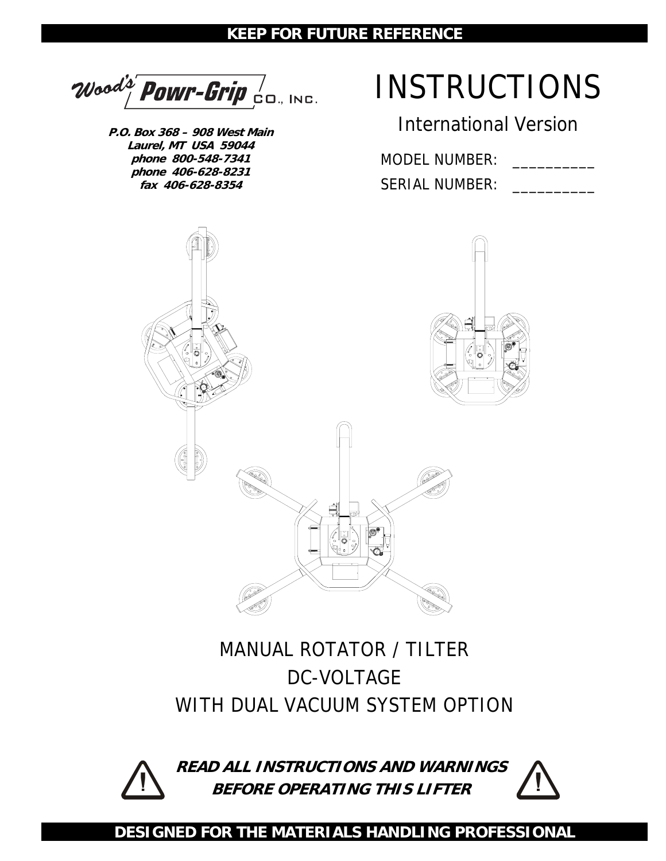### **KEEP FOR FUTURE REFERENCE**

Wood's' POWr-Grip  $\frac{1}{2}$ 

**P.O. Box 368 – 908 West Main Laurel, MT USA 59044 phone 800-548-7341 phone 406-628-8231 fax 406-628-8354** 

# INSTRUCTIONS

International Version

MODEL NUMBER: SERIAL NUMBER:



## MANUAL ROTATOR / TILTER DC-VOLTAGE WITH DUAL VACUUM SYSTEM OPTION



**READ ALL INSTRUCTIONS AND WARNINGS BEFORE OPERATING THIS LIFTER**



**DESIGNED FOR THE MATERIALS HANDLING PROFESSIONAL**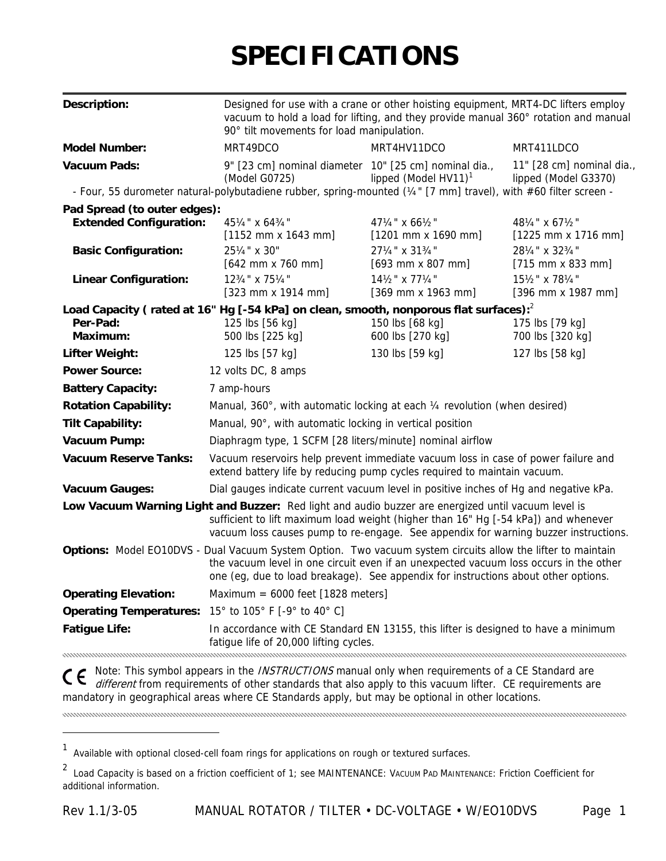# **SPECIFICATIONS**

| <b>Description:</b>                                            | Designed for use with a crane or other hoisting equipment, MRT4-DC lifters employ<br>vacuum to hold a load for lifting, and they provide manual 360° rotation and manual<br>90° tilt movements for load manipulation.                                                                      |                                                                 |                                                   |  |
|----------------------------------------------------------------|--------------------------------------------------------------------------------------------------------------------------------------------------------------------------------------------------------------------------------------------------------------------------------------------|-----------------------------------------------------------------|---------------------------------------------------|--|
| <b>Model Number:</b>                                           | MRT49DCO                                                                                                                                                                                                                                                                                   | MRT4HV11DCO                                                     | MRT411LDCO                                        |  |
| <b>Vacuum Pads:</b>                                            | 9" [23 cm] nominal diameter 10" [25 cm] nominal dia.,<br>(Model G0725)                                                                                                                                                                                                                     | lipped (Model $HV11$ ) <sup>1</sup>                             | 11" [28 cm] nominal dia.,<br>lipped (Model G3370) |  |
|                                                                | - Four, 55 durometer natural-polybutadiene rubber, spring-mounted (1/4" [7 mm] travel), with #60 filter screen -                                                                                                                                                                           |                                                                 |                                                   |  |
| Pad Spread (to outer edges):<br><b>Extended Configuration:</b> | 451/4" x 643/4"<br>$[1152 \, \text{mm} \times 1643 \, \text{mm}]$                                                                                                                                                                                                                          | $47\frac{1}{4}$ " x 66 $\frac{1}{2}$ "<br>$[1201$ mm x 1690 mm] | 481/4" x 671/2"<br>$[1225$ mm x 1716 mm]          |  |
| <b>Basic Configuration:</b>                                    | 251/4" x 30"<br>$[642$ mm x 760 mm]                                                                                                                                                                                                                                                        | 271/4" x 313/4"<br>$[693$ mm x 807 mm]                          | 281/4" x 323/4"<br>$[715$ mm x 833 mm]            |  |
| <b>Linear Configuration:</b>                                   | 123/4" x 751/4"<br>$[323$ mm x 1914 mm]                                                                                                                                                                                                                                                    | 141/2" x 771/4"<br>$[369$ mm x 1963 mm]                         | 151/2" x 781/4"<br>$[396$ mm x 1987 mm]           |  |
| Per-Pad:<br>Maximum:                                           | Load Capacity (rated at 16" Hg [-54 kPa] on clean, smooth, nonporous flat surfaces): <sup>2</sup><br>125 lbs [56 kg]<br>500 lbs [225 kg]                                                                                                                                                   | 150 lbs [68 kg]<br>600 lbs [270 kg]                             | 175 lbs [79 kg]<br>700 lbs [320 kg]               |  |
| <b>Lifter Weight:</b>                                          | 125 lbs [57 kg]                                                                                                                                                                                                                                                                            | 130 lbs [59 kg]                                                 | 127 lbs [58 kg]                                   |  |
| <b>Power Source:</b>                                           | 12 volts DC, 8 amps                                                                                                                                                                                                                                                                        |                                                                 |                                                   |  |
| <b>Battery Capacity:</b>                                       | 7 amp-hours                                                                                                                                                                                                                                                                                |                                                                 |                                                   |  |
| <b>Rotation Capability:</b>                                    | Manual, 360°, with automatic locking at each 1/4 revolution (when desired)                                                                                                                                                                                                                 |                                                                 |                                                   |  |
| <b>Tilt Capability:</b>                                        | Manual, 90°, with automatic locking in vertical position                                                                                                                                                                                                                                   |                                                                 |                                                   |  |
| Vacuum Pump:                                                   | Diaphragm type, 1 SCFM [28 liters/minute] nominal airflow                                                                                                                                                                                                                                  |                                                                 |                                                   |  |
| <b>Vacuum Reserve Tanks:</b>                                   | Vacuum reservoirs help prevent immediate vacuum loss in case of power failure and<br>extend battery life by reducing pump cycles required to maintain vacuum.                                                                                                                              |                                                                 |                                                   |  |
| <b>Vacuum Gauges:</b>                                          | Dial gauges indicate current vacuum level in positive inches of Hg and negative kPa.                                                                                                                                                                                                       |                                                                 |                                                   |  |
|                                                                | Low Vacuum Warning Light and Buzzer: Red light and audio buzzer are energized until vacuum level is<br>sufficient to lift maximum load weight (higher than 16" Hg [-54 kPa]) and whenever<br>vacuum loss causes pump to re-engage. See appendix for warning buzzer instructions.           |                                                                 |                                                   |  |
|                                                                | Options: Model EO10DVS - Dual Vacuum System Option. Two vacuum system circuits allow the lifter to maintain<br>the vacuum level in one circuit even if an unexpected vacuum loss occurs in the other<br>one (eg, due to load breakage). See appendix for instructions about other options. |                                                                 |                                                   |  |
| <b>Operating Elevation:</b>                                    | Maximum = $6000$ feet [1828 meters]                                                                                                                                                                                                                                                        |                                                                 |                                                   |  |
| Operating Temperatures: 15° to 105° F [-9° to 40° C]           |                                                                                                                                                                                                                                                                                            |                                                                 |                                                   |  |
| <b>Fatigue Life:</b>                                           | In accordance with CE Standard EN 13155, this lifter is designed to have a minimum<br>fatigue life of 20,000 lifting cycles.                                                                                                                                                               |                                                                 |                                                   |  |

different from requirements of other standards that also apply to this vacuum lifter. CE requirements are mandatory in geographical areas where CE Standards apply, but may be optional in other locations.

 $\overline{a}$ 

<sup>&</sup>lt;sup>1</sup> Available with optional closed-cell foam rings for applications on rough or textured surfaces.

<sup>2&</sup>lt;br>Load Capacity is based on a friction coefficient of 1; see MAINTENANCE: VACUUM PAD MAINTENANCE: Friction Coefficient for additional information.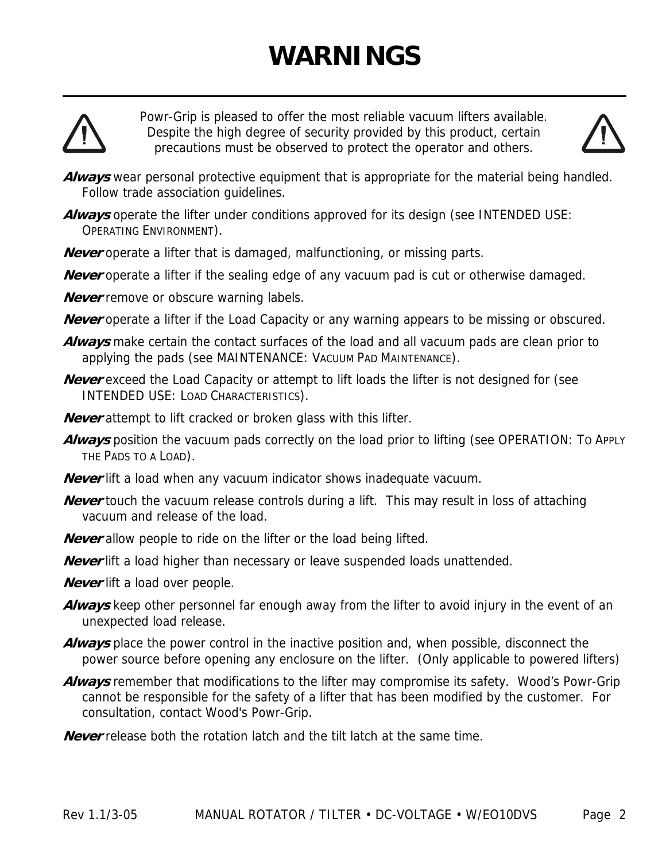# **WARNINGS**



Powr-Grip is pleased to offer the most reliable vacuum lifters available. Despite the high degree of security provided by this product, certain precautions must be observed to protect the operator and others.



- **Always** wear personal protective equipment that is appropriate for the material being handled. Follow trade association guidelines.
- Always operate the lifter under conditions approved for its design (see INTENDED USE: OPERATING ENVIRONMENT).
- **Never** operate a lifter that is damaged, malfunctioning, or missing parts.
- **Never** operate a lifter if the sealing edge of any vacuum pad is cut or otherwise damaged.
- **Never** remove or obscure warning labels.
- **Never** operate a lifter if the Load Capacity or any warning appears to be missing or obscured.
- **Always** make certain the contact surfaces of the load and all vacuum pads are clean prior to applying the pads (see MAINTENANCE: VACUUM PAD MAINTENANCE).
- **Never** exceed the Load Capacity or attempt to lift loads the lifter is not designed for (see INTENDED USE: LOAD CHARACTERISTICS).
- **Never** attempt to lift cracked or broken glass with this lifter.
- **Always** position the vacuum pads correctly on the load prior to lifting (see OPERATION: TO APPLY THE PADS TO A LOAD).
- **Never** lift a load when any vacuum indicator shows inadequate vacuum.
- **Never** touch the vacuum release controls during a lift. This may result in loss of attaching vacuum and release of the load.
- **Never** allow people to ride on the lifter or the load being lifted.
- **Never** lift a load higher than necessary or leave suspended loads unattended.
- **Never** lift a load over people.
- **Always** keep other personnel far enough away from the lifter to avoid injury in the event of an unexpected load release.
- **Always** place the power control in the inactive position and, when possible, disconnect the power source before opening any enclosure on the lifter. (Only applicable to powered lifters)
- **Always** remember that modifications to the lifter may compromise its safety. Wood's Powr-Grip cannot be responsible for the safety of a lifter that has been modified by the customer. For consultation, contact Wood's Powr-Grip.
- **Never** release both the rotation latch and the tilt latch at the same time.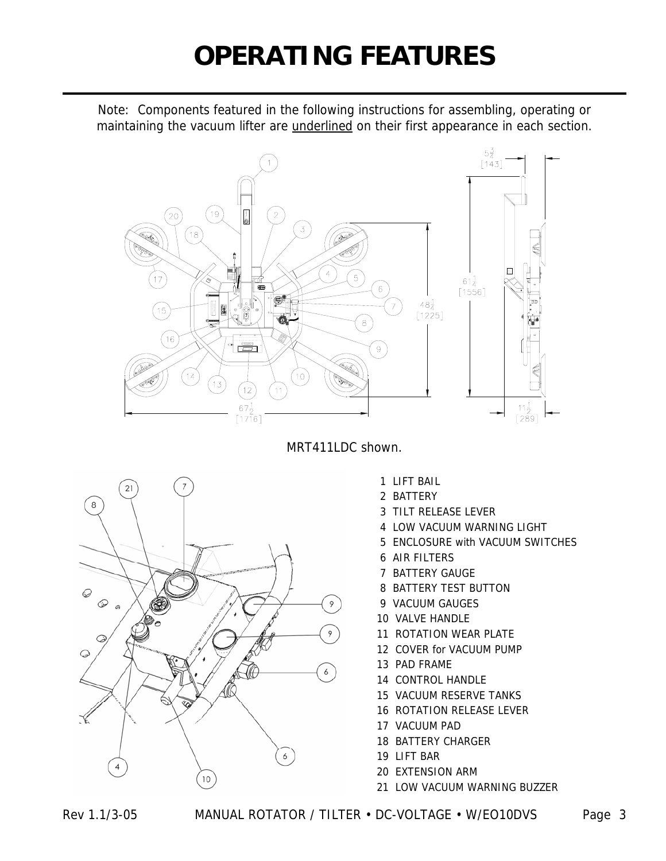# **OPERATING FEATURES**

Note: Components featured in the following instructions for assembling, operating or maintaining the vacuum lifter are *underlined* on their first appearance in each section.



MRT411LDC shown.



- 1 LIFT BAIL
- 2 BATTERY
- 3 TILT RELEASE LEVER
- 4 LOW VACUUM WARNING LIGHT
- 5 ENCLOSURE with VACUUM SWITCHES
- 6 AIR FILTERS
- 7 BATTERY GAUGE
- 8 BATTERY TEST BUTTON
- 9 VACUUM GAUGES
- 10 VALVE HANDLE
- 11 ROTATION WEAR PLATE
- 12 COVER for VACUUM PUMP
- 13 PAD FRAME
- 14 CONTROL HANDLE
- 15 VACUUM RESERVE TANKS
- 16 ROTATION RELEASE LEVER
- 17 VACUUM PAD
- 18 BATTERY CHARGER
- 19 LIFT BAR
- 20 EXTENSION ARM
- 21 LOW VACUUM WARNING BUZZER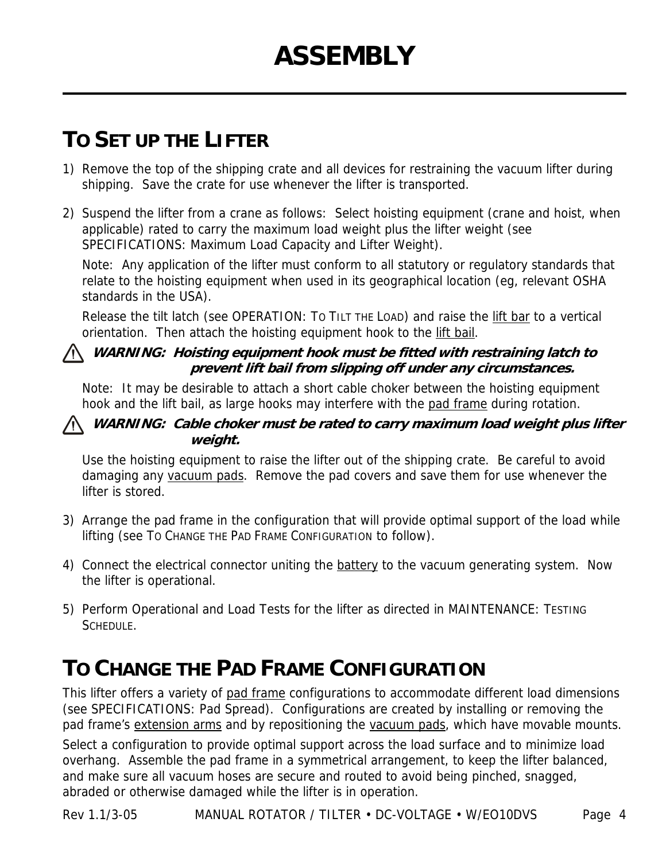## **TO SET UP THE LIFTER**

- 1) Remove the top of the shipping crate and all devices for restraining the vacuum lifter during shipping. Save the crate for use whenever the lifter is transported.
- 2) Suspend the lifter from a crane as follows: Select hoisting equipment (crane and hoist, when applicable) rated to carry the maximum load weight plus the lifter weight (see SPECIFICATIONS: Maximum Load Capacity and Lifter Weight).

Note: Any application of the lifter must conform to all statutory or regulatory standards that relate to the hoisting equipment when used in its geographical location (eg, relevant OSHA standards in the USA).

Release the tilt latch (see OPERATION: To TILT THE LOAD) and raise the lift bar to a vertical orientation. Then attach the hoisting equipment hook to the lift bail.

#### **WARNING: Hoisting equipment hook must be fitted with restraining latch to prevent lift bail from slipping off under any circumstances.**

Note: It may be desirable to attach a short cable choker between the hoisting equipment hook and the lift bail, as large hooks may interfere with the pad frame during rotation.

#### **WARNING: Cable choker must be rated to carry maximum load weight plus lifter weight.**

Use the hoisting equipment to raise the lifter out of the shipping crate. Be careful to avoid damaging any vacuum pads. Remove the pad covers and save them for use whenever the lifter is stored.

- 3) Arrange the pad frame in the configuration that will provide optimal support of the load while lifting (see TO CHANGE THE PAD FRAME CONFIGURATION to follow).
- 4) Connect the electrical connector uniting the battery to the vacuum generating system. Now the lifter is operational.
- 5) Perform Operational and Load Tests for the lifter as directed in MAINTENANCE: TESTING SCHEDULE.

## **TO CHANGE THE PAD FRAME CONFIGURATION**

This lifter offers a variety of pad frame configurations to accommodate different load dimensions (see SPECIFICATIONS: Pad Spread). Configurations are created by installing or removing the pad frame's extension arms and by repositioning the vacuum pads, which have movable mounts.

Select a configuration to provide optimal support across the load surface and to minimize load overhang. Assemble the pad frame in a symmetrical arrangement, to keep the lifter balanced, and make sure all vacuum hoses are secure and routed to avoid being pinched, snagged, abraded or otherwise damaged while the lifter is in operation.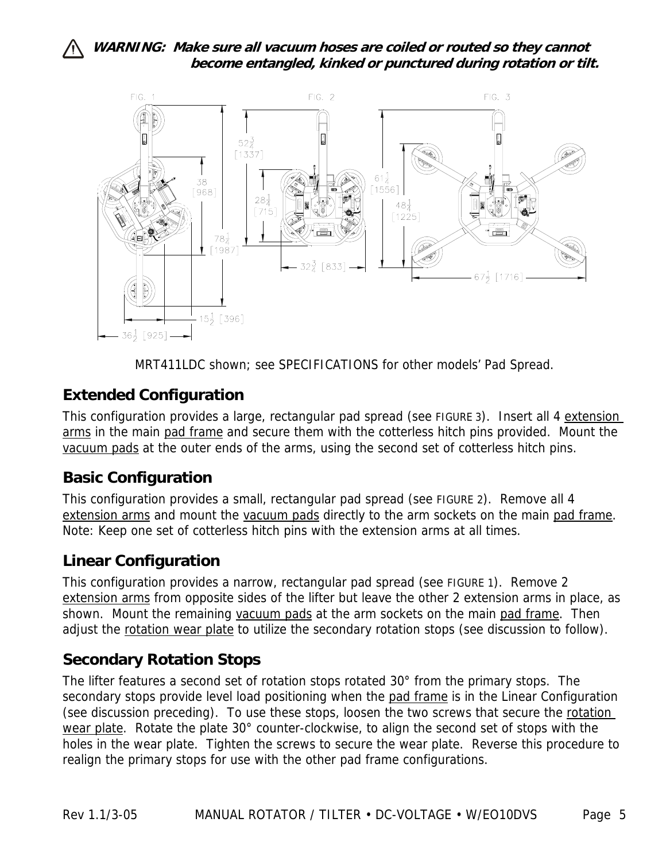

MRT411LDC shown; see SPECIFICATIONS for other models' Pad Spread.

### **Extended Configuration**

This configuration provides a large, rectangular pad spread (see FIGURE 3). Insert all 4 extension arms in the main pad frame and secure them with the cotterless hitch pins provided. Mount the vacuum pads at the outer ends of the arms, using the second set of cotterless hitch pins.

#### **Basic Configuration**

This configuration provides a small, rectangular pad spread (see FIGURE 2). Remove all 4 extension arms and mount the vacuum pads directly to the arm sockets on the main pad frame. Note: Keep one set of cotterless hitch pins with the extension arms at all times.

#### **Linear Configuration**

This configuration provides a narrow, rectangular pad spread (see FIGURE 1). Remove 2 extension arms from opposite sides of the lifter but leave the other 2 extension arms in place, as shown. Mount the remaining vacuum pads at the arm sockets on the main pad frame. Then adjust the rotation wear plate to utilize the secondary rotation stops (see discussion to follow).

#### **Secondary Rotation Stops**

The lifter features a second set of rotation stops rotated 30° from the primary stops. The secondary stops provide level load positioning when the pad frame is in the Linear Configuration (see discussion preceding). To use these stops, loosen the two screws that secure the rotation wear plate. Rotate the plate 30° counter-clockwise, to align the second set of stops with the holes in the wear plate. Tighten the screws to secure the wear plate. Reverse this procedure to realign the primary stops for use with the other pad frame configurations.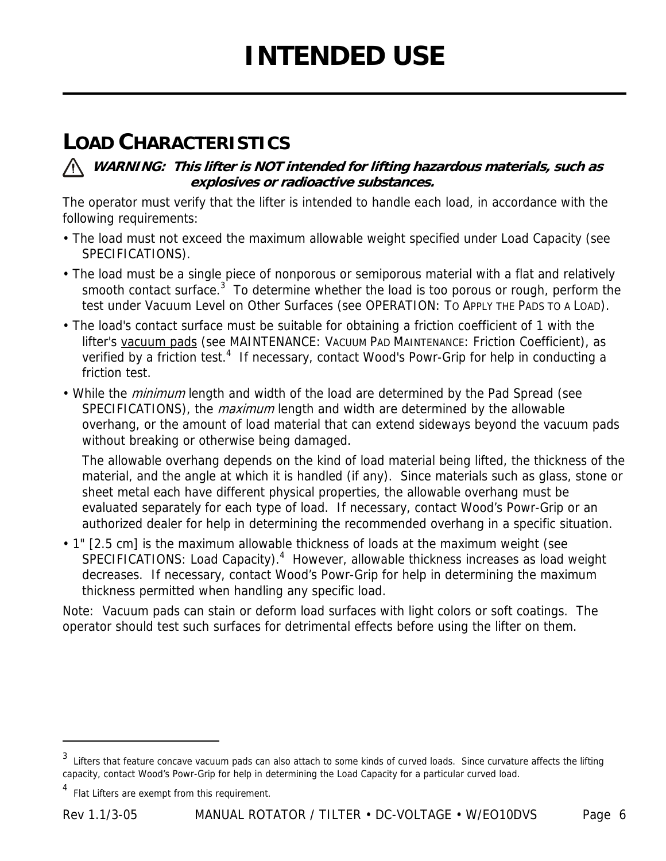## **LOAD CHARACTERISTICS**

**WARNING: This lifter is NOT intended for lifting hazardous materials, such as explosives or radioactive substances.** 

The operator must verify that the lifter is intended to handle each load, in accordance with the following requirements:

- The load must not exceed the maximum allowable weight specified under Load Capacity (see SPECIFICATIONS).
- The load must be a single piece of nonporous or semiporous material with a flat and relatively smooth contact surface.<sup>3</sup> To determine whether the load is too porous or rough, perform the test under Vacuum Level on Other Surfaces (see OPERATION: TO APPLY THE PADS TO A LOAD).
- The load's contact surface must be suitable for obtaining a friction coefficient of 1 with the lifter's vacuum pads (see MAINTENANCE: VACUUM PAD MAINTENANCE: Friction Coefficient), as verified by a friction test.<sup>4</sup> If necessary, contact Wood's Powr-Grip for help in conducting a friction test.
- While the *minimum* length and width of the load are determined by the Pad Spread (see SPECIFICATIONS), the *maximum* length and width are determined by the allowable overhang, or the amount of load material that can extend sideways beyond the vacuum pads without breaking or otherwise being damaged.

The allowable overhang depends on the kind of load material being lifted, the thickness of the material, and the angle at which it is handled (if any). Since materials such as glass, stone or sheet metal each have different physical properties, the allowable overhang must be evaluated separately for each type of load. If necessary, contact Wood's Powr-Grip or an authorized dealer for help in determining the recommended overhang in a specific situation.

• 1" [2.5 cm] is the maximum allowable thickness of loads at the maximum weight (see SPECIFICATIONS: Load Capacity).<sup>4</sup> However, allowable thickness increases as load weight decreases. If necessary, contact Wood's Powr-Grip for help in determining the maximum thickness permitted when handling any specific load.

Note: Vacuum pads can stain or deform load surfaces with light colors or soft coatings. The operator should test such surfaces for detrimental effects before using the lifter on them.

 $\overline{a}$ 

<sup>&</sup>lt;sup>3</sup> Lifters that feature concave vacuum pads can also attach to some kinds of curved loads. Since curvature affects the lifting capacity, contact Wood's Powr-Grip for help in determining the Load Capacity for a particular curved load.

<sup>4</sup> Flat Lifters are exempt from this requirement.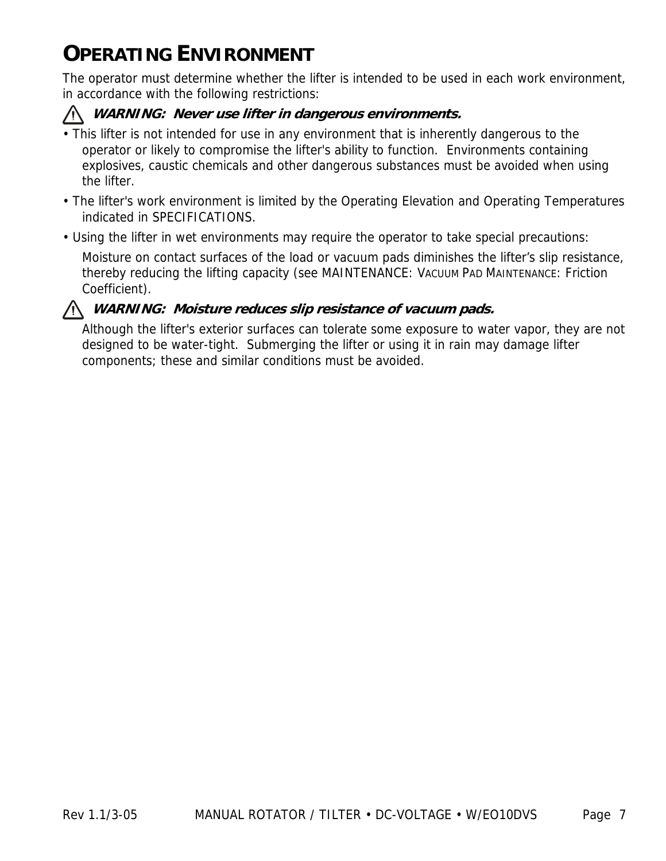## **OPERATING ENVIRONMENT**

The operator must determine whether the lifter is intended to be used in each work environment, in accordance with the following restrictions:

#### **WARNING: Never use lifter in dangerous environments.**

- This lifter is not intended for use in any environment that is inherently dangerous to the operator or likely to compromise the lifter's ability to function. Environments containing explosives, caustic chemicals and other dangerous substances must be avoided when using the lifter.
- The lifter's work environment is limited by the Operating Elevation and Operating Temperatures indicated in SPECIFICATIONS.
- Using the lifter in wet environments may require the operator to take special precautions:

Moisture on contact surfaces of the load or vacuum pads diminishes the lifter's slip resistance, thereby reducing the lifting capacity (see MAINTENANCE: VACUUM PAD MAINTENANCE: Friction Coefficient).



#### **WARNING: Moisture reduces slip resistance of vacuum pads.**

Although the lifter's exterior surfaces can tolerate some exposure to water vapor, they are not designed to be water-tight. Submerging the lifter or using it in rain may damage lifter components; these and similar conditions must be avoided.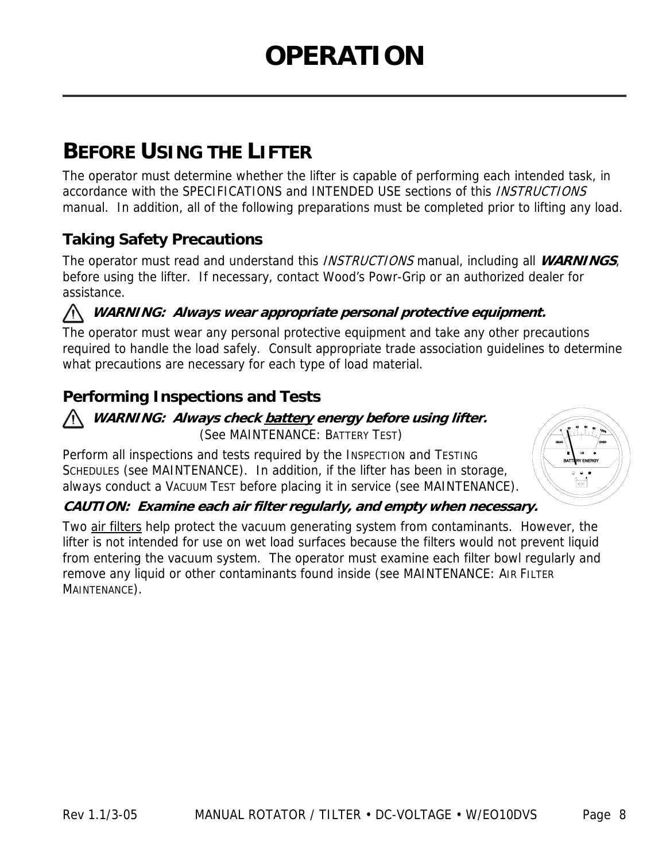## **BEFORE USING THE LIFTER**

The operator must determine whether the lifter is capable of performing each intended task, in accordance with the SPECIFICATIONS and INTENDED USE sections of this INSTRUCTIONS manual. In addition, all of the following preparations must be completed prior to lifting any load.

### **Taking Safety Precautions**

The operator must read and understand this INSTRUCTIONS manual, including all **WARNINGS**, before using the lifter. If necessary, contact Wood's Powr-Grip or an authorized dealer for assistance.

#### **WARNING: Always wear appropriate personal protective equipment.**

The operator must wear any personal protective equipment and take any other precautions required to handle the load safely. Consult appropriate trade association guidelines to determine what precautions are necessary for each type of load material.

### **Performing Inspections and Tests**

#### **WARNING: Always check battery energy before using lifter.**  (See MAINTENANCE: BATTERY TEST)

Perform all inspections and tests required by the INSPECTION and TESTING SCHEDULES (see MAINTENANCE). In addition, if the lifter has been in storage, always conduct a VACUUM TEST before placing it in service (see MAINTENANCE).



#### **CAUTION: Examine each air filter regularly, and empty when necessary.**

Two air filters help protect the vacuum generating system from contaminants. However, the lifter is not intended for use on wet load surfaces because the filters would not prevent liquid from entering the vacuum system. The operator must examine each filter bowl regularly and remove any liquid or other contaminants found inside (see MAINTENANCE: AIR FILTER MAINTENANCE).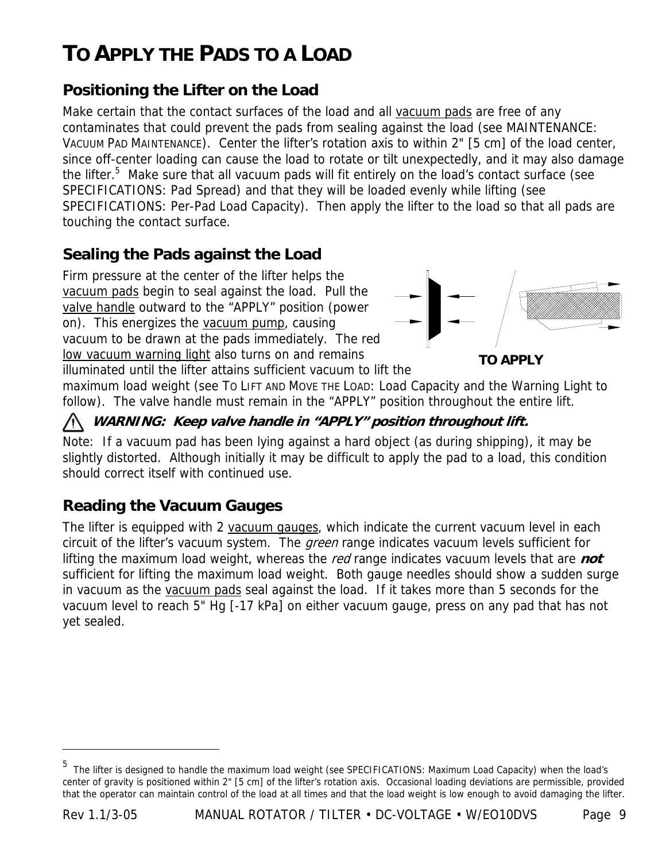## **TO APPLY THE PADS TO A LOAD**

### **Positioning the Lifter on the Load**

Make certain that the contact surfaces of the load and all vacuum pads are free of any contaminates that could prevent the pads from sealing against the load (see MAINTENANCE: VACUUM PAD MAINTENANCE). Center the lifter's rotation axis to within 2" [5 cm] of the load center, since off-center loading can cause the load to rotate or tilt unexpectedly, and it may also damage the lifter.<sup>5</sup> Make sure that all vacuum pads will fit entirely on the load's contact surface (see SPECIFICATIONS: Pad Spread) and that they will be loaded evenly while lifting (see SPECIFICATIONS: Per-Pad Load Capacity). Then apply the lifter to the load so that all pads are touching the contact surface.

### **Sealing the Pads against the Load**

Firm pressure at the center of the lifter helps the vacuum pads begin to seal against the load. Pull the valve handle outward to the "APPLY" position (power on). This energizes the vacuum pump, causing vacuum to be drawn at the pads immediately. The red low vacuum warning light also turns on and remains illuminated until the lifter attains sufficient vacuum to lift the



**TO APPLY**

maximum load weight (see TO LIFT AND MOVE THE LOAD: Load Capacity and the Warning Light to follow). The valve handle must remain in the "APPLY" position throughout the entire lift.

### **WARNING: Keep valve handle in "APPLY" position throughout lift.**

Note: If a vacuum pad has been lying against a hard object (as during shipping), it may be slightly distorted. Although initially it may be difficult to apply the pad to a load, this condition should correct itself with continued use.

### **Reading the Vacuum Gauges**

The lifter is equipped with 2 vacuum gauges, which indicate the current vacuum level in each circuit of the lifter's vacuum system. The *green* range indicates vacuum levels sufficient for lifting the maximum load weight, whereas the red range indicates vacuum levels that are **not** sufficient for lifting the maximum load weight. Both gauge needles should show a sudden surge in vacuum as the vacuum pads seal against the load. If it takes more than 5 seconds for the vacuum level to reach 5" Hg [-17 kPa] on either vacuum gauge, press on any pad that has not yet sealed.

 $\overline{a}$ 

<sup>&</sup>lt;sup>5</sup> The lifter is designed to handle the maximum load weight (see SPECIFICATIONS: Maximum Load Capacity) when the load's center of gravity is positioned within 2" [5 cm] of the lifter's rotation axis. Occasional loading deviations are permissible, provided that the operator can maintain control of the load at all times and that the load weight is low enough to avoid damaging the lifter.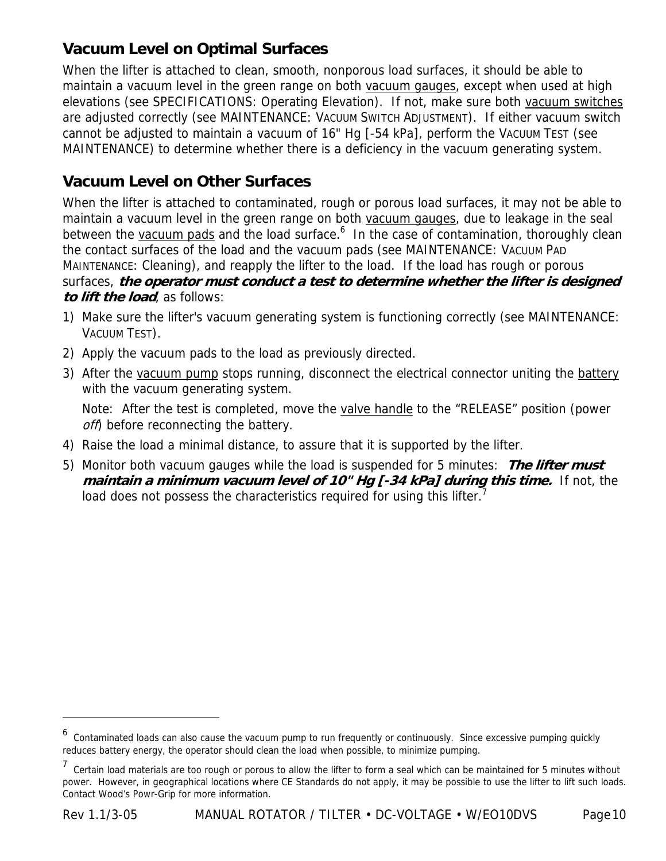## **Vacuum Level on Optimal Surfaces**

When the lifter is attached to clean, smooth, nonporous load surfaces, it should be able to maintain a vacuum level in the green range on both vacuum gauges, except when used at high elevations (see SPECIFICATIONS: Operating Elevation). If not, make sure both vacuum switches are adjusted correctly (see MAINTENANCE: VACUUM SWITCH ADJUSTMENT). If either vacuum switch cannot be adjusted to maintain a vacuum of 16" Hg [-54 kPa], perform the VACUUM TEST (see MAINTENANCE) to determine whether there is a deficiency in the vacuum generating system.

### **Vacuum Level on Other Surfaces**

When the lifter is attached to contaminated, rough or porous load surfaces, it may not be able to maintain a vacuum level in the green range on both vacuum gauges, due to leakage in the seal between the vacuum pads and the load surface.<sup>6</sup> In the case of contamination, thoroughly clean the contact surfaces of the load and the vacuum pads (see MAINTENANCE: VACUUM PAD MAINTENANCE: Cleaning), and reapply the lifter to the load. If the load has rough or porous surfaces, **the operator must conduct a test to determine whether the lifter is designed to lift the load**, as follows:

- 1) Make sure the lifter's vacuum generating system is functioning correctly (see MAINTENANCE: VACUUM TEST).
- 2) Apply the vacuum pads to the load as previously directed.
- 3) After the vacuum pump stops running, disconnect the electrical connector uniting the battery with the vacuum generating system.

 Note: After the test is completed, move the valve handle to the "RELEASE" position (power off) before reconnecting the battery.

- 4) Raise the load a minimal distance, to assure that it is supported by the lifter.
- 5) Monitor both vacuum gauges while the load is suspended for 5 minutes: **The lifter must maintain a minimum vacuum level of 10" Hg [-34 kPa] during this time.** If not, the load does not possess the characteristics required for using this lifter.<sup>7</sup>

 $\overline{a}$ 

<sup>&</sup>lt;sup>6</sup> Contaminated loads can also cause the vacuum pump to run frequently or continuously. Since excessive pumping quickly reduces battery energy, the operator should clean the load when possible, to minimize pumping.

<sup>&</sup>lt;sup>7</sup> Certain load materials are too rough or porous to allow the lifter to form a seal which can be maintained for 5 minutes without power. However, in geographical locations where CE Standards do not apply, it may be possible to use the lifter to lift such loads. Contact Wood's Powr-Grip for more information.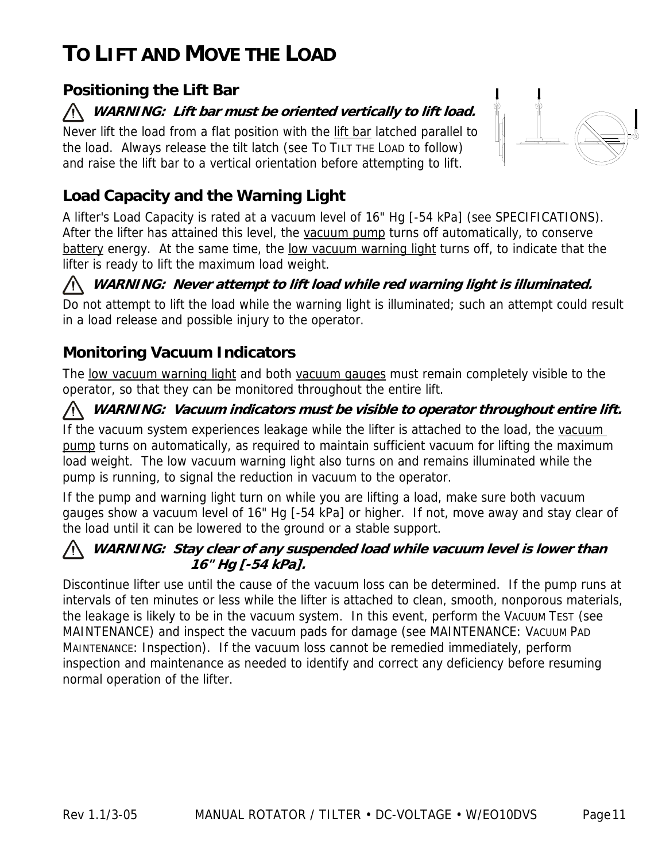## **TO LIFT AND MOVE THE LOAD**

## **Positioning the Lift Bar**

#### **WARNING: Lift bar must be oriented vertically to lift load.**  /N =

Never lift the load from a flat position with the lift bar latched parallel to the load. Always release the tilt latch (see TO TILT THE LOAD to follow) and raise the lift bar to a vertical orientation before attempting to lift.



## **Load Capacity and the Warning Light**

A lifter's Load Capacity is rated at a vacuum level of 16" Hg [-54 kPa] (see SPECIFICATIONS). After the lifter has attained this level, the vacuum pump turns off automatically, to conserve battery energy. At the same time, the low vacuum warning light turns off, to indicate that the lifter is ready to lift the maximum load weight.

#### **WARNING: Never attempt to lift load while red warning light is illuminated.**

Do not attempt to lift the load while the warning light is illuminated; such an attempt could result in a load release and possible injury to the operator.

### **Monitoring Vacuum Indicators**

The low vacuum warning light and both vacuum gauges must remain completely visible to the operator, so that they can be monitored throughout the entire lift.

#### **WARNING: Vacuum indicators must be visible to operator throughout entire lift.**

If the vacuum system experiences leakage while the lifter is attached to the load, the vacuum pump turns on automatically, as required to maintain sufficient vacuum for lifting the maximum load weight. The low vacuum warning light also turns on and remains illuminated while the pump is running, to signal the reduction in vacuum to the operator.

If the pump and warning light turn on while you are lifting a load, make sure both vacuum gauges show a vacuum level of 16" Hg [-54 kPa] or higher. If not, move away and stay clear of the load until it can be lowered to the ground or a stable support.

#### **WARNING: Stay clear of any suspended load while vacuum level is lower than 16" Hg [-54 kPa].**

Discontinue lifter use until the cause of the vacuum loss can be determined. If the pump runs at intervals of ten minutes or less while the lifter is attached to clean, smooth, nonporous materials, the leakage is likely to be in the vacuum system. In this event, perform the VACUUM TEST (see MAINTENANCE) and inspect the vacuum pads for damage (see MAINTENANCE: VACUUM PAD MAINTENANCE: Inspection). If the vacuum loss cannot be remedied immediately, perform inspection and maintenance as needed to identify and correct any deficiency before resuming normal operation of the lifter.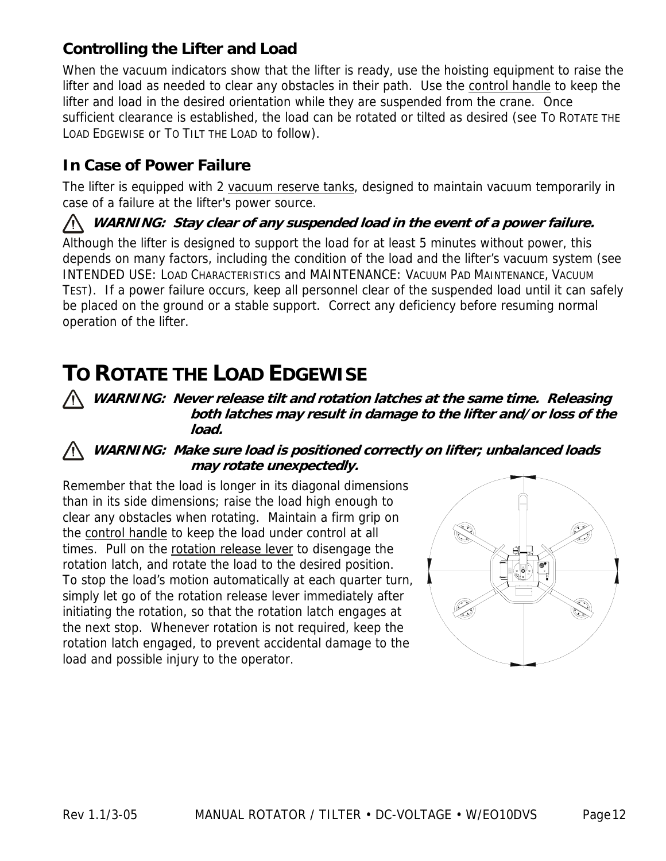## **Controlling the Lifter and Load**

When the vacuum indicators show that the lifter is ready, use the hoisting equipment to raise the lifter and load as needed to clear any obstacles in their path. Use the control handle to keep the lifter and load in the desired orientation while they are suspended from the crane. Once sufficient clearance is established, the load can be rotated or tilted as desired (see TO ROTATE THE LOAD EDGEWISE or TO TILT THE LOAD to follow).

### **In Case of Power Failure**

The lifter is equipped with 2 vacuum reserve tanks, designed to maintain vacuum temporarily in case of a failure at the lifter's power source.

#### **WARNING: Stay clear of any suspended load in the event of a power failure.**

Although the lifter is designed to support the load for at least 5 minutes without power, this depends on many factors, including the condition of the load and the lifter's vacuum system (see INTENDED USE: LOAD CHARACTERISTICS and MAINTENANCE: VACUUM PAD MAINTENANCE, VACUUM TEST). If a power failure occurs, keep all personnel clear of the suspended load until it can safely be placed on the ground or a stable support. Correct any deficiency before resuming normal operation of the lifter.

## **TO ROTATE THE LOAD EDGEWISE**

#### **WARNING: Never release tilt and rotation latches at the same time. Releasing both latches may result in damage to the lifter and/or loss of the load.**

#### **WARNING: Make sure load is positioned correctly on lifter; unbalanced loads may rotate unexpectedly.**

Remember that the load is longer in its diagonal dimensions than in its side dimensions; raise the load high enough to clear any obstacles when rotating. Maintain a firm grip on the control handle to keep the load under control at all times. Pull on the rotation release lever to disengage the rotation latch, and rotate the load to the desired position. To stop the load's motion automatically at each quarter turn, simply let go of the rotation release lever immediately after initiating the rotation, so that the rotation latch engages at the next stop. Whenever rotation is not required, keep the rotation latch engaged, to prevent accidental damage to the load and possible injury to the operator.

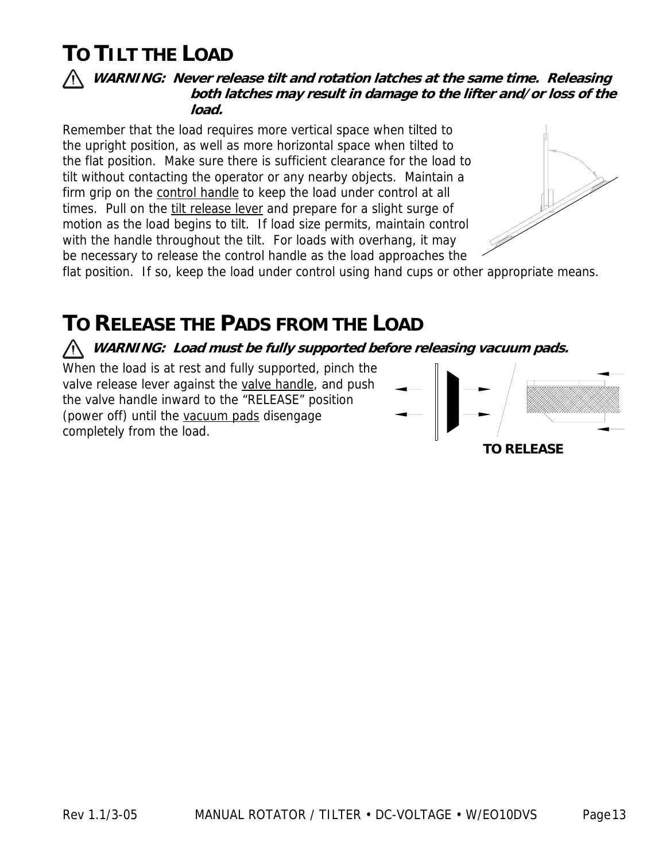## **TO TILT THE LOAD**

#### **WARNING: Never release tilt and rotation latches at the same time. Releasing both latches may result in damage to the lifter and/or loss of the load.**

Remember that the load requires more vertical space when tilted to the upright position, as well as more horizontal space when tilted to the flat position. Make sure there is sufficient clearance for the load to tilt without contacting the operator or any nearby objects. Maintain a firm grip on the control handle to keep the load under control at all times. Pull on the tilt release lever and prepare for a slight surge of motion as the load begins to tilt. If load size permits, maintain control with the handle throughout the tilt. For loads with overhang, it may be necessary to release the control handle as the load approaches the



flat position. If so, keep the load under control using hand cups or other appropriate means.

## **TO RELEASE THE PADS FROM THE LOAD**

**WARNING: Load must be fully supported before releasing vacuum pads.** 

When the load is at rest and fully supported, pinch the valve release lever against the valve handle, and push the valve handle inward to the "RELEASE" position (power off) until the vacuum pads disengage completely from the load.

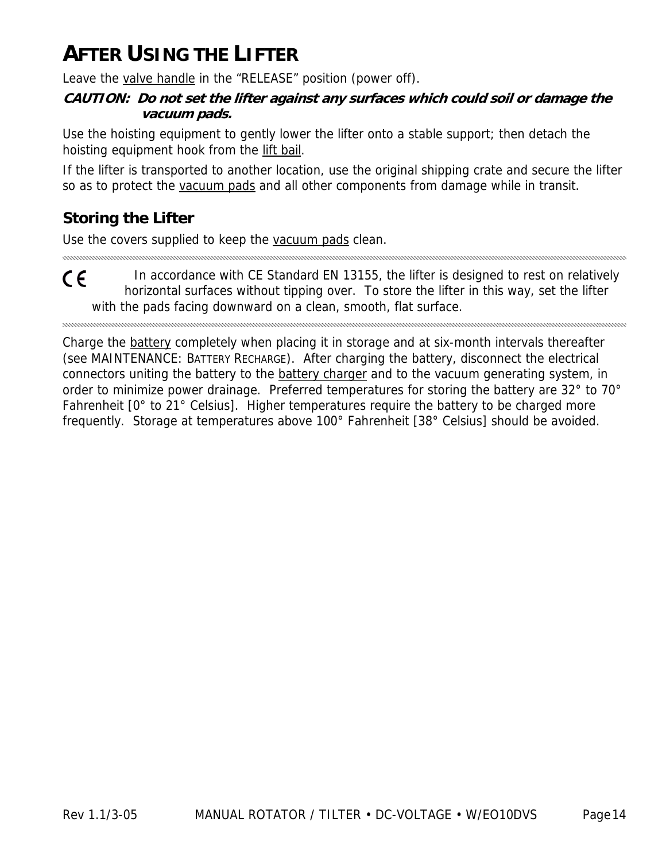## **AFTER USING THE LIFTER**

Leave the valve handle in the "RELEASE" position (power off).

#### **CAUTION: Do not set the lifter against any surfaces which could soil or damage the vacuum pads.**

Use the hoisting equipment to gently lower the lifter onto a stable support; then detach the hoisting equipment hook from the lift bail.

If the lifter is transported to another location, use the original shipping crate and secure the lifter so as to protect the vacuum pads and all other components from damage while in transit.

## **Storing the Lifter**

Use the covers supplied to keep the vacuum pads clean.

In accordance with CE Standard EN 13155, the lifter is designed to rest on relatively CE horizontal surfaces without tipping over. To store the lifter in this way, set the lifter with the pads facing downward on a clean, smooth, flat surface.

Charge the battery completely when placing it in storage and at six-month intervals thereafter (see MAINTENANCE: BATTERY RECHARGE). After charging the battery, disconnect the electrical connectors uniting the battery to the **battery charger** and to the vacuum generating system, in order to minimize power drainage. Preferred temperatures for storing the battery are 32° to 70° Fahrenheit [0° to 21° Celsius]. Higher temperatures require the battery to be charged more frequently. Storage at temperatures above 100° Fahrenheit [38° Celsius] should be avoided.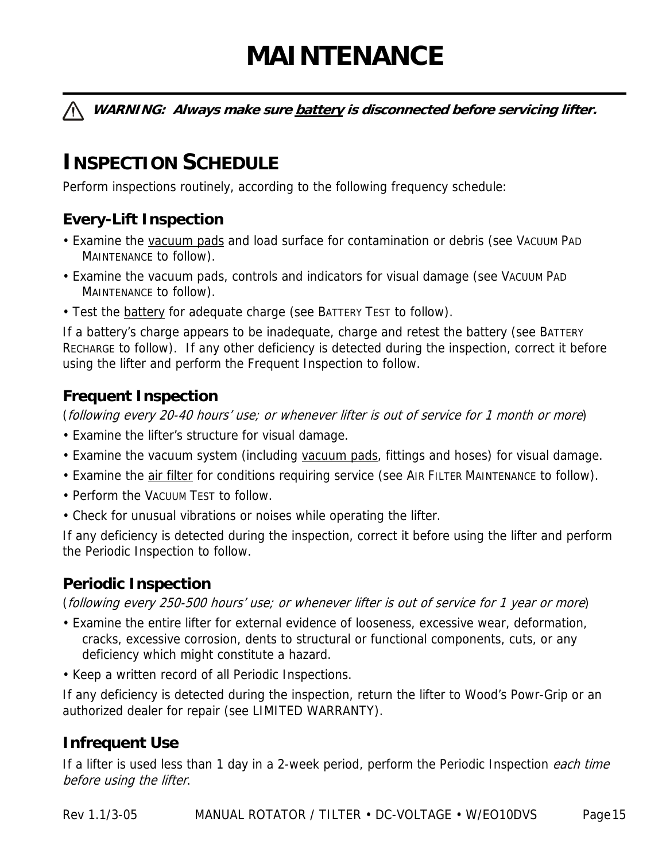# **MAINTENANCE**

**WARNING: Always make sure battery is disconnected before servicing lifter.** 

## **INSPECTION SCHEDULE**

Perform inspections routinely, according to the following frequency schedule:

## **Every-Lift Inspection**

- Examine the vacuum pads and load surface for contamination or debris (see VACUUM PAD MAINTENANCE to follow).
- Examine the vacuum pads, controls and indicators for visual damage (see VACUUM PAD MAINTENANCE to follow).
- Test the battery for adequate charge (see BATTERY TEST to follow).

If a battery's charge appears to be inadequate, charge and retest the battery (see BATTERY RECHARGE to follow). If any other deficiency is detected during the inspection, correct it before using the lifter and perform the Frequent Inspection to follow.

### **Frequent Inspection**

(following every 20-40 hours' use; or whenever lifter is out of service for 1 month or more)

- Examine the lifter's structure for visual damage.
- Examine the vacuum system (including vacuum pads, fittings and hoses) for visual damage.
- Examine the *air filter* for conditions requiring service (see AIR FILTER MAINTENANCE to follow).
- Perform the VACUUM TEST to follow.
- Check for unusual vibrations or noises while operating the lifter.

If any deficiency is detected during the inspection, correct it before using the lifter and perform the Periodic Inspection to follow.

### **Periodic Inspection**

(following every 250-500 hours' use; or whenever lifter is out of service for 1 year or more)

- Examine the entire lifter for external evidence of looseness, excessive wear, deformation, cracks, excessive corrosion, dents to structural or functional components, cuts, or any deficiency which might constitute a hazard.
- Keep a written record of all Periodic Inspections.

If any deficiency is detected during the inspection, return the lifter to Wood's Powr-Grip or an authorized dealer for repair (see LIMITED WARRANTY).

### **Infrequent Use**

If a lifter is used less than 1 day in a 2-week period, perform the Periodic Inspection each time before using the lifter.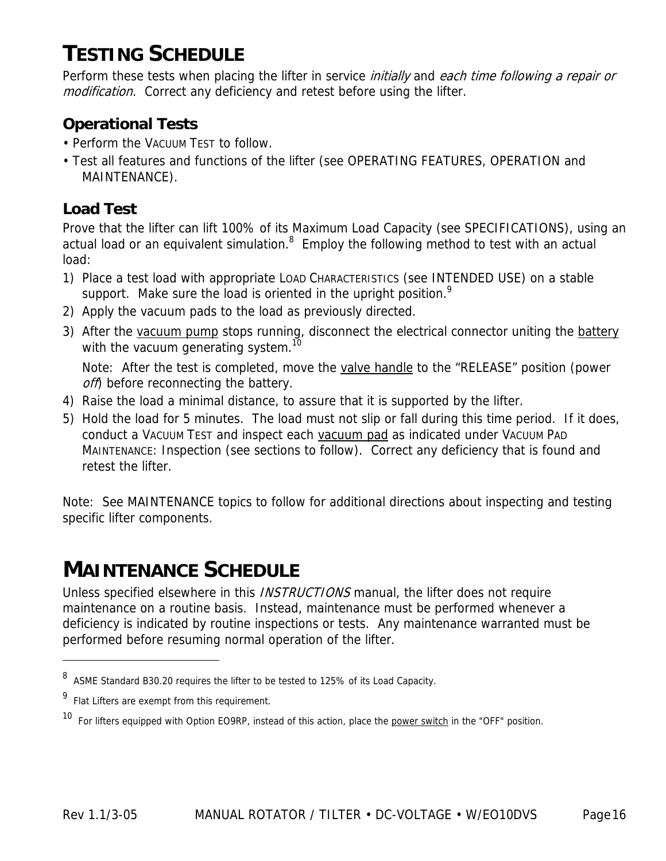## **TESTING SCHEDULE**

Perform these tests when placing the lifter in service *initially* and each time following a repair or modification. Correct any deficiency and retest before using the lifter.

### **Operational Tests**

- Perform the VACUUM TEST to follow.
- Test all features and functions of the lifter (see OPERATING FEATURES, OPERATION and MAINTENANCE).

## **Load Test**

Prove that the lifter can lift 100% of its Maximum Load Capacity (see SPECIFICATIONS), using an actual load or an equivalent simulation. $8$  Employ the following method to test with an actual load:

- 1) Place a test load with appropriate LOAD CHARACTERISTICS (see INTENDED USE) on a stable support. Make sure the load is oriented in the upright position.<sup>9</sup>
- 2) Apply the vacuum pads to the load as previously directed.
- 3) After the vacuum pump stops running, disconnect the electrical connector uniting the battery with the vacuum generating system.<sup>10</sup>

 Note: After the test is completed, move the valve handle to the "RELEASE" position (power off) before reconnecting the battery.

- 4) Raise the load a minimal distance, to assure that it is supported by the lifter.
- 5) Hold the load for 5 minutes. The load must not slip or fall during this time period. If it does, conduct a VACUUM TEST and inspect each vacuum pad as indicated under VACUUM PAD MAINTENANCE: Inspection (see sections to follow). Correct any deficiency that is found and retest the lifter.

Note: See MAINTENANCE topics to follow for additional directions about inspecting and testing specific lifter components.

## **MAINTENANCE SCHEDULE**

Unless specified elsewhere in this *INSTRUCTIONS* manual, the lifter does not require maintenance on a routine basis. Instead, maintenance must be performed whenever a deficiency is indicated by routine inspections or tests. Any maintenance warranted must be performed before resuming normal operation of the lifter.

 $\overline{a}$ 

<sup>8</sup> ASME Standard B30.20 requires the lifter to be tested to 125% of its Load Capacity.

<sup>9</sup> Flat Lifters are exempt from this requirement.

<sup>&</sup>lt;sup>10</sup> For lifters equipped with Option EO9RP, instead of this action, place the power switch in the "OFF" position.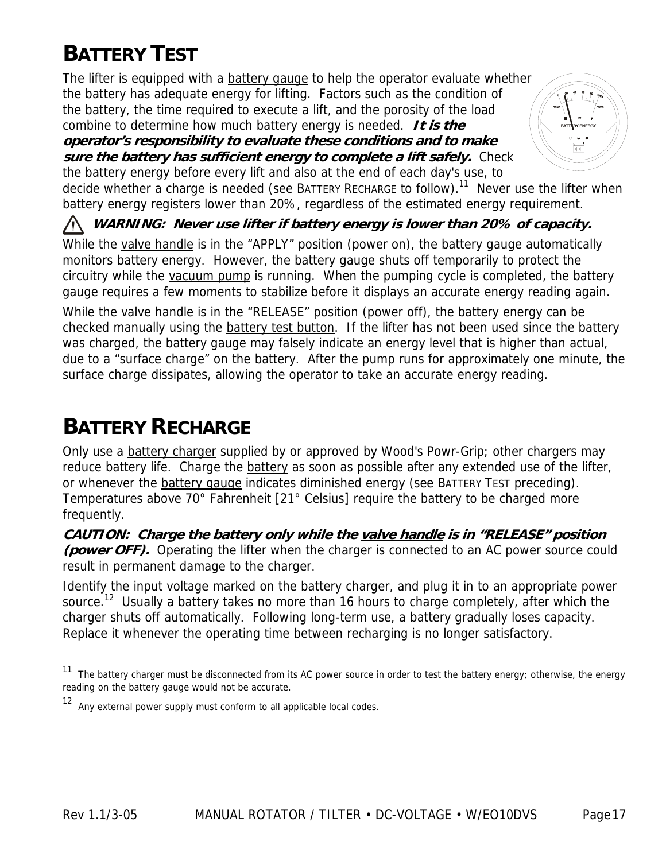## **BATTERY TEST**

The lifter is equipped with a **battery gauge** to help the operator evaluate whether the battery has adequate energy for lifting. Factors such as the condition of the battery, the time required to execute a lift, and the porosity of the load combine to determine how much battery energy is needed. **It is the** 

**operator's responsibility to evaluate these conditions and to make sure the battery has sufficient energy to complete a lift safely.** Check the battery energy before every lift and also at the end of each day's use, to



decide whether a charge is needed (see BATTERY RECHARGE to follow).<sup>11</sup> Never use the lifter when battery energy registers lower than 20%, regardless of the estimated energy requirement.

**WARNING: Never use lifter if battery energy is lower than 20% of capacity.** 

While the valve handle is in the "APPLY" position (power on), the battery gauge automatically monitors battery energy. However, the battery gauge shuts off temporarily to protect the circuitry while the vacuum pump is running. When the pumping cycle is completed, the battery gauge requires a few moments to stabilize before it displays an accurate energy reading again.

While the valve handle is in the "RELEASE" position (power off), the battery energy can be checked manually using the battery test button. If the lifter has not been used since the battery was charged, the battery gauge may falsely indicate an energy level that is higher than actual, due to a "surface charge" on the battery. After the pump runs for approximately one minute, the surface charge dissipates, allowing the operator to take an accurate energy reading.

## **BATTERY RECHARGE**

 $\overline{a}$ 

Only use a battery charger supplied by or approved by Wood's Powr-Grip; other chargers may reduce battery life. Charge the battery as soon as possible after any extended use of the lifter, or whenever the **battery gauge** indicates diminished energy (see BATTERY TEST preceding). Temperatures above 70° Fahrenheit [21° Celsius] require the battery to be charged more frequently.

**CAUTION: Charge the battery only while the valve handle is in "RELEASE" position (power OFF).** Operating the lifter when the charger is connected to an AC power source could result in permanent damage to the charger.

Identify the input voltage marked on the battery charger, and plug it in to an appropriate power source.<sup>12</sup> Usually a battery takes no more than 16 hours to charge completely, after which the charger shuts off automatically. Following long-term use, a battery gradually loses capacity. Replace it whenever the operating time between recharging is no longer satisfactory.

The battery charger must be disconnected from its AC power source in order to test the battery energy; otherwise, the energy reading on the battery gauge would not be accurate.

<sup>12</sup> Any external power supply must conform to all applicable local codes.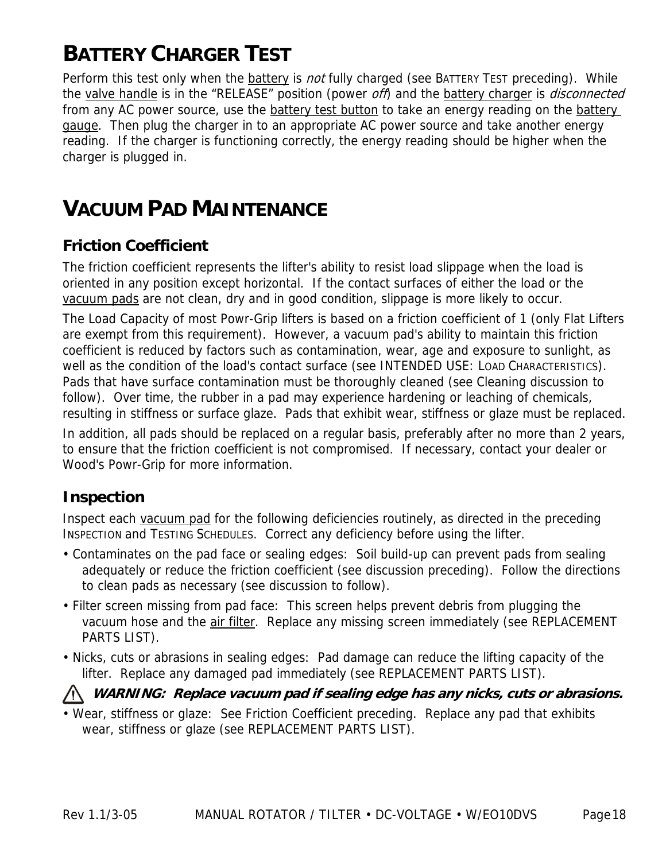## **BATTERY CHARGER TEST**

Perform this test only when the battery is *not* fully charged (see BATTERY TEST preceding). While the valve handle is in the "RELEASE" position (power off) and the battery charger is *disconnected* from any AC power source, use the battery test button to take an energy reading on the battery gauge. Then plug the charger in to an appropriate AC power source and take another energy reading. If the charger is functioning correctly, the energy reading should be higher when the charger is plugged in.

## **VACUUM PAD MAINTENANCE**

### **Friction Coefficient**

The friction coefficient represents the lifter's ability to resist load slippage when the load is oriented in any position except horizontal. If the contact surfaces of either the load or the vacuum pads are not clean, dry and in good condition, slippage is more likely to occur.

The Load Capacity of most Powr-Grip lifters is based on a friction coefficient of 1 (only Flat Lifters are exempt from this requirement). However, a vacuum pad's ability to maintain this friction coefficient is reduced by factors such as contamination, wear, age and exposure to sunlight, as well as the condition of the load's contact surface (see INTENDED USE: LOAD CHARACTERISTICS). Pads that have surface contamination must be thoroughly cleaned (see Cleaning discussion to follow). Over time, the rubber in a pad may experience hardening or leaching of chemicals, resulting in stiffness or surface glaze. Pads that exhibit wear, stiffness or glaze must be replaced.

In addition, all pads should be replaced on a regular basis, preferably after no more than 2 years, to ensure that the friction coefficient is not compromised. If necessary, contact your dealer or Wood's Powr-Grip for more information.

#### **Inspection**

Inspect each vacuum pad for the following deficiencies routinely, as directed in the preceding INSPECTION and TESTING SCHEDULES. Correct any deficiency before using the lifter.

- Contaminates on the pad face or sealing edges: Soil build-up can prevent pads from sealing adequately or reduce the friction coefficient (see discussion preceding). Follow the directions to clean pads as necessary (see discussion to follow).
- Filter screen missing from pad face: This screen helps prevent debris from plugging the vacuum hose and the air filter. Replace any missing screen immediately (see REPLACEMENT PARTS LIST).
- Nicks, cuts or abrasions in sealing edges: Pad damage can reduce the lifting capacity of the lifter. Replace any damaged pad immediately (see REPLACEMENT PARTS LIST).

#### **WARNING: Replace vacuum pad if sealing edge has any nicks, cuts or abrasions.**

• Wear, stiffness or glaze: See Friction Coefficient preceding. Replace any pad that exhibits wear, stiffness or glaze (see REPLACEMENT PARTS LIST).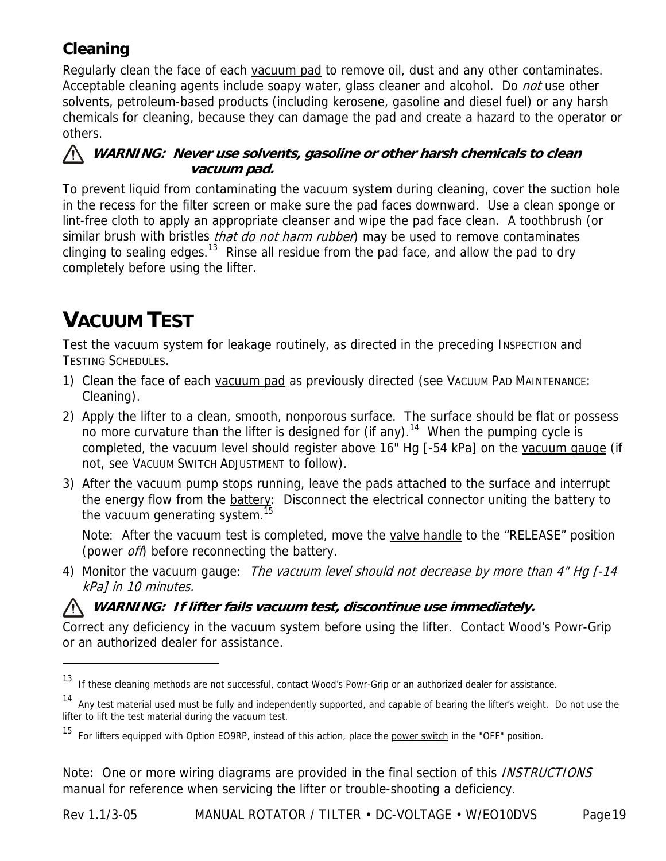## **Cleaning**

Regularly clean the face of each vacuum pad to remove oil, dust and any other contaminates. Acceptable cleaning agents include soapy water, glass cleaner and alcohol. Do *not* use other solvents, petroleum-based products (including kerosene, gasoline and diesel fuel) or any harsh chemicals for cleaning, because they can damage the pad and create a hazard to the operator or others.

#### **WARNING: Never use solvents, gasoline or other harsh chemicals to clean vacuum pad.**

To prevent liquid from contaminating the vacuum system during cleaning, cover the suction hole in the recess for the filter screen or make sure the pad faces downward. Use a clean sponge or lint-free cloth to apply an appropriate cleanser and wipe the pad face clean. A toothbrush (or similar brush with bristles *that do not harm rubber*) may be used to remove contaminates clinging to sealing edges.<sup>13</sup> Rinse all residue from the pad face, and allow the pad to dry completely before using the lifter.

## **VACUUM TEST**

-

Test the vacuum system for leakage routinely, as directed in the preceding INSPECTION and TESTING SCHEDULES.

- 1) Clean the face of each vacuum pad as previously directed (see VACUUM PAD MAINTENANCE: Cleaning).
- 2) Apply the lifter to a clean, smooth, nonporous surface. The surface should be flat or possess no more curvature than the lifter is designed for (if any).<sup>14</sup> When the pumping cycle is completed, the vacuum level should register above 16" Hg [-54 kPa] on the vacuum gauge (if not, see VACUUM SWITCH ADJUSTMENT to follow).
- 3) After the vacuum pump stops running, leave the pads attached to the surface and interrupt the energy flow from the **battery:** Disconnect the electrical connector uniting the battery to the vacuum generating system.<sup>15</sup>

Note: After the vacuum test is completed, move the valve handle to the "RELEASE" position (power *off*) before reconnecting the battery.

4) Monitor the vacuum gauge: The vacuum level should not decrease by more than 4" Hg [-14] kPa] in 10 minutes.

#### **WARNING: If lifter fails vacuum test, discontinue use immediately.**

Correct any deficiency in the vacuum system before using the lifter. Contact Wood's Powr-Grip or an authorized dealer for assistance.

Note: One or more wiring diagrams are provided in the final section of this *INSTRUCTIONS* manual for reference when servicing the lifter or trouble-shooting a deficiency.

<sup>13</sup> If these cleaning methods are not successful, contact Wood's Powr-Grip or an authorized dealer for assistance.

<sup>14</sup> Any test material used must be fully and independently supported, and capable of bearing the lifter's weight. Do not use the lifter to lift the test material during the vacuum test.

<sup>&</sup>lt;sup>15</sup> For lifters equipped with Option EO9RP, instead of this action, place the **power switch** in the "OFF" position.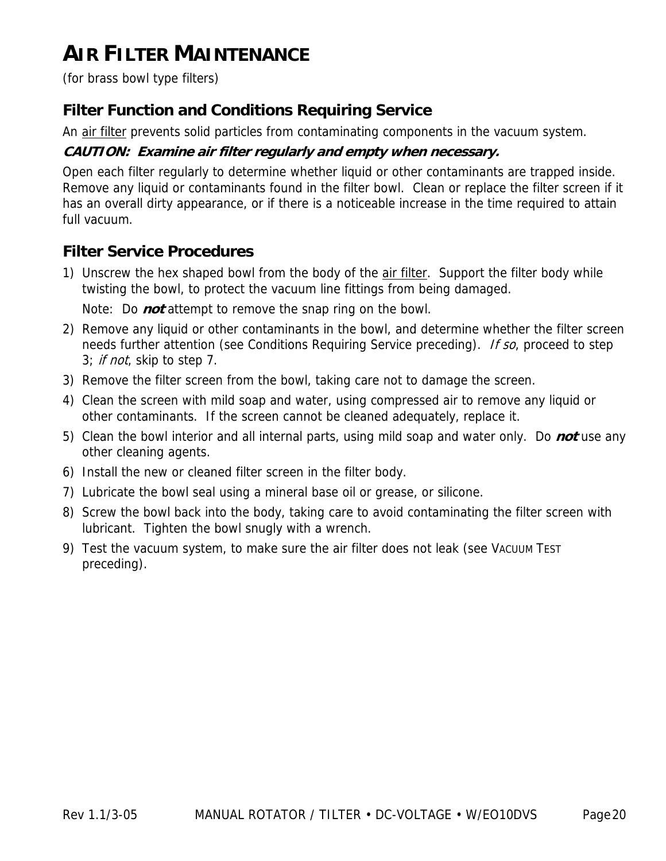## **AIR FILTER MAINTENANCE**

(for brass bowl type filters)

### **Filter Function and Conditions Requiring Service**

An air filter prevents solid particles from contaminating components in the vacuum system.

#### **CAUTION: Examine air filter regularly and empty when necessary.**

Open each filter regularly to determine whether liquid or other contaminants are trapped inside. Remove any liquid or contaminants found in the filter bowl. Clean or replace the filter screen if it has an overall dirty appearance, or if there is a noticeable increase in the time required to attain full vacuum.

### **Filter Service Procedures**

- 1) Unscrew the hex shaped bowl from the body of the air filter. Support the filter body while twisting the bowl, to protect the vacuum line fittings from being damaged. Note: Do **not** attempt to remove the snap ring on the bowl.
- 2) Remove any liquid or other contaminants in the bowl, and determine whether the filter screen needs further attention (see Conditions Requiring Service preceding). If so, proceed to step 3; if not, skip to step 7.
- 3) Remove the filter screen from the bowl, taking care not to damage the screen.
- 4) Clean the screen with mild soap and water, using compressed air to remove any liquid or other contaminants. If the screen cannot be cleaned adequately, replace it.
- 5) Clean the bowl interior and all internal parts, using mild soap and water only. Do **not** use any other cleaning agents.
- 6) Install the new or cleaned filter screen in the filter body.
- 7) Lubricate the bowl seal using a mineral base oil or grease, or silicone.
- 8) Screw the bowl back into the body, taking care to avoid contaminating the filter screen with lubricant. Tighten the bowl snugly with a wrench.
- 9) Test the vacuum system, to make sure the air filter does not leak (see VACUUM TEST preceding).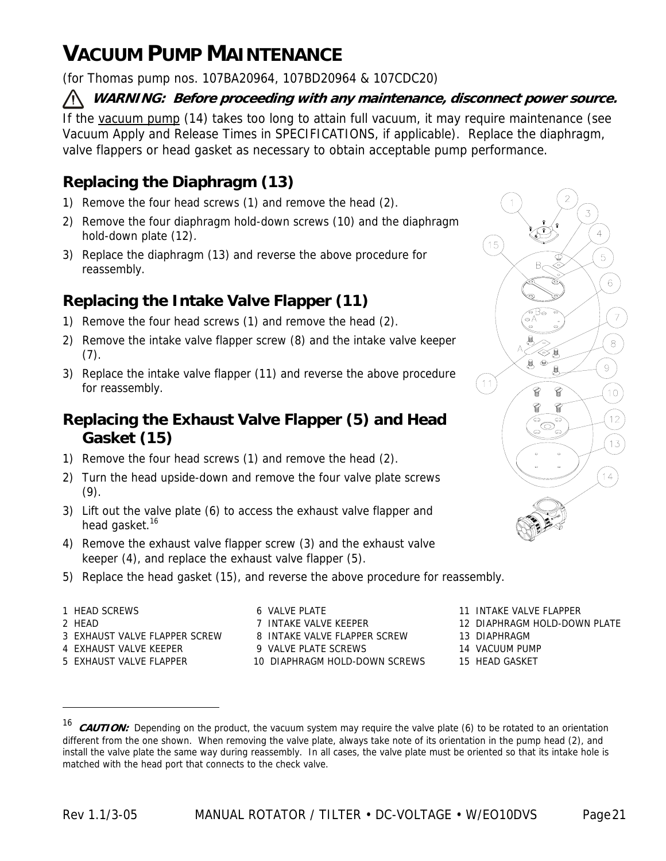## **VACUUM PUMP MAINTENANCE**

(for Thomas pump nos. 107BA20964, 107BD20964 & 107CDC20)

#### **WARNING: Before proceeding with any maintenance, disconnect power source.**

If the vacuum pump (14) takes too long to attain full vacuum, it may require maintenance (see Vacuum Apply and Release Times in SPECIFICATIONS, if applicable). Replace the diaphragm, valve flappers or head gasket as necessary to obtain acceptable pump performance.

## **Replacing the Diaphragm (13)**

- 1) Remove the four head screws (1) and remove the head (2).
- 2) Remove the four diaphragm hold-down screws (10) and the diaphragm hold-down plate (12).
- 3) Replace the diaphragm (13) and reverse the above procedure for reassembly.

## **Replacing the Intake Valve Flapper (11)**

- 1) Remove the four head screws (1) and remove the head (2).
- 2) Remove the intake valve flapper screw (8) and the intake valve keeper (7).
- 3) Replace the intake valve flapper (11) and reverse the above procedure for reassembly.

## **Replacing the Exhaust Valve Flapper (5) and Head Gasket (15)**

- 1) Remove the four head screws (1) and remove the head (2).
- 2) Turn the head upside-down and remove the four valve plate screws  $(9).$
- 3) Lift out the valve plate (6) to access the exhaust valve flapper and head gasket.<sup>16</sup>
- 4) Remove the exhaust valve flapper screw (3) and the exhaust valve keeper (4), and replace the exhaust valve flapper (5).
- 5) Replace the head gasket (15), and reverse the above procedure for reassembly.
- 
- 

 $\overline{a}$ 

- 3 EXHAUST VALVE FLAPPER SCREW 8 INTAKE VALVE FLAPPER SCREW 13 DIAPHRAGM
- 
- 

1 HEAD SCREWS **11 INTAKE VALUE 11 INTAKE VALVE FLAPPER** 6 VALVE PLATE 4 EXHAUST VALVE KEEPER 9 VALVE PLATE SCREWS 14 VACUUM PUMP 5 EXHAUST VALVE FLAPPER 10 DIAPHRAGM HOLD-DOWN SCREWS 15 HEAD GASKET

3  $\overline{4}$  $15$ 5  $\sqrt{6}$  $\overline{7}$  $\,8\,$ 8  $\Theta$  $\left(11\right)$  $10$ q  $12$ 6  $13$  $14$ 

- 
- 2 HEAD **12 DIAPHRAGM HOLD-DOWN PLATE** 7 INTAKE VALVE KEEPER 12 DIAPHRAGM HOLD-DOWN PLATE
	-
	-
	-

<sup>&</sup>lt;sup>16</sup> **CAUTION:** Depending on the product, the vacuum system may require the valve plate (6) to be rotated to an orientation different from the one shown. When removing the valve plate, always take note of its orientation in the pump head (2), and install the valve plate the same way during reassembly. In all cases, the valve plate must be oriented so that its intake hole is matched with the head port that connects to the check valve.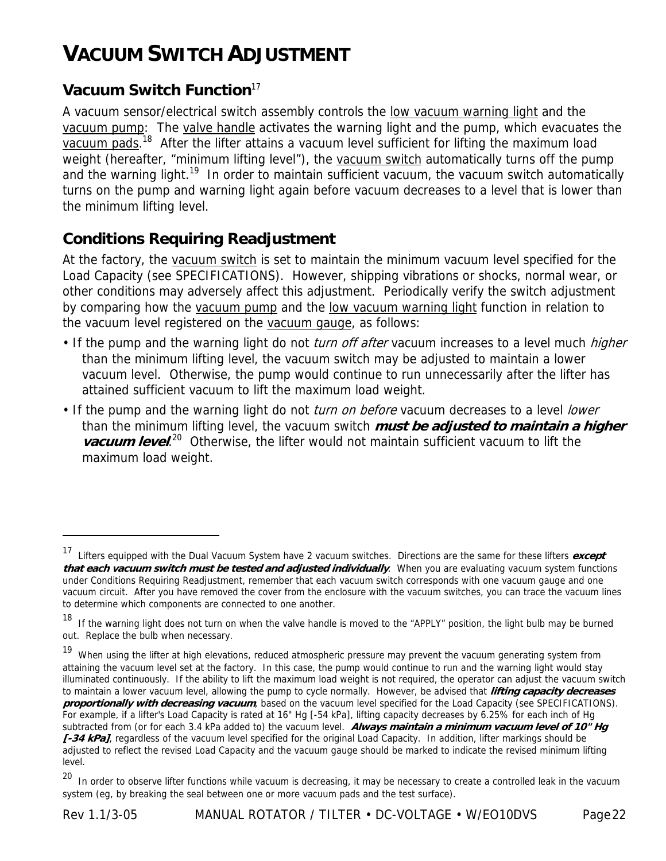## **VACUUM SWITCH ADJUSTMENT**

### **Vacuum Switch Function**<sup>17</sup>

 $\overline{a}$ 

A vacuum sensor/electrical switch assembly controls the low vacuum warning light and the vacuum pump: The valve handle activates the warning light and the pump, which evacuates the vacuum pads.<sup>18</sup> After the lifter attains a vacuum level sufficient for lifting the maximum load weight (hereafter, "minimum lifting level"), the vacuum switch automatically turns off the pump and the warning light.<sup>19</sup> In order to maintain sufficient vacuum, the vacuum switch automatically turns on the pump and warning light again before vacuum decreases to a level that is lower than the minimum lifting level.

### **Conditions Requiring Readjustment**

At the factory, the vacuum switch is set to maintain the minimum vacuum level specified for the Load Capacity (see SPECIFICATIONS). However, shipping vibrations or shocks, normal wear, or other conditions may adversely affect this adjustment. Periodically verify the switch adjustment by comparing how the vacuum pump and the low vacuum warning light function in relation to the vacuum level registered on the vacuum gauge, as follows:

- If the pump and the warning light do not *turn off after* vacuum increases to a level much *higher* than the minimum lifting level, the vacuum switch may be adjusted to maintain a lower vacuum level. Otherwise, the pump would continue to run unnecessarily after the lifter has attained sufficient vacuum to lift the maximum load weight.
- If the pump and the warning light do not *turn on before* vacuum decreases to a level *lower* than the minimum lifting level, the vacuum switch **must be adjusted to maintain a higher vacuum level.**<sup>20</sup> Otherwise, the lifter would not maintain sufficient vacuum to lift the maximum load weight.

<sup>17</sup> Lifters equipped with the Dual Vacuum System have 2 vacuum switches. Directions are the same for these lifters **except that each vacuum switch must be tested and adjusted individually**. When you are evaluating vacuum system functions under Conditions Requiring Readjustment, remember that each vacuum switch corresponds with one vacuum gauge and one vacuum circuit. After you have removed the cover from the enclosure with the vacuum switches, you can trace the vacuum lines to determine which components are connected to one another.

<sup>&</sup>lt;sup>18</sup> If the warning light does not turn on when the valve handle is moved to the "APPLY" position, the light bulb may be burned out. Replace the bulb when necessary.

<sup>&</sup>lt;sup>19</sup> When using the lifter at high elevations, reduced atmospheric pressure may prevent the vacuum generating system from attaining the vacuum level set at the factory. In this case, the pump would continue to run and the warning light would stay illuminated continuously. If the ability to lift the maximum load weight is not required, the operator can adjust the vacuum switch to maintain a lower vacuum level, allowing the pump to cycle normally. However, be advised that **lifting capacity decreases proportionally with decreasing vacuum**, based on the vacuum level specified for the Load Capacity (see SPECIFICATIONS). For example, if a lifter's Load Capacity is rated at 16" Hg [-54 kPa], lifting capacity decreases by 6.25% for each inch of Hg subtracted from (or for each 3.4 kPa added to) the vacuum level. **Always maintain a minimum vacuum level of 10" Hg**  [-34 kPa], regardless of the vacuum level specified for the original Load Capacity. In addition, lifter markings should be adjusted to reflect the revised Load Capacity and the vacuum gauge should be marked to indicate the revised minimum lifting level.

<sup>&</sup>lt;sup>20</sup> In order to observe lifter functions while vacuum is decreasing, it may be necessary to create a controlled leak in the vacuum system (eg, by breaking the seal between one or more vacuum pads and the test surface).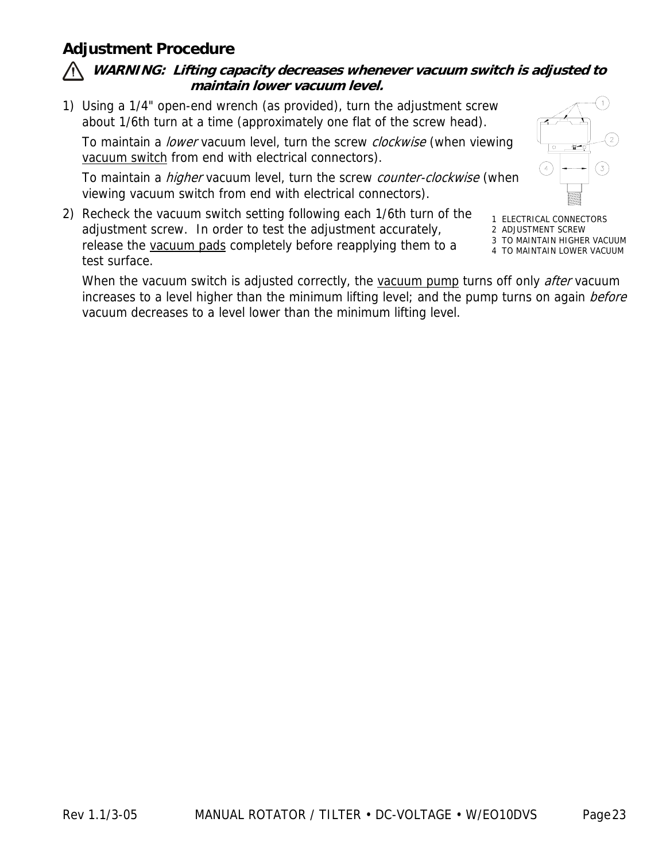### **Adjustment Procedure**

#### **WARNING: Lifting capacity decreases whenever vacuum switch is adjusted to maintain lower vacuum level.**

1) Using a 1/4" open-end wrench (as provided), turn the adjustment screw about 1/6th turn at a time (approximately one flat of the screw head).

To maintain a lower vacuum level, turn the screw clockwise (when viewing vacuum switch from end with electrical connectors).

To maintain a *higher* vacuum level, turn the screw counter-clockwise (when viewing vacuum switch from end with electrical connectors).

2) Recheck the vacuum switch setting following each 1/6th turn of the adjustment screw. In order to test the adjustment accurately, release the vacuum pads completely before reapplying them to a test surface.

1 ELECTRICAL CONNECTORS 2 ADJUSTMENT SCREW

 $\left(4\right)$ 

- 3 TO MAINTAIN HIGHER VACUUM
- 4 TO MAINTAIN LOWER VACUUM

When the vacuum switch is adjusted correctly, the vacuum pump turns off only *after* vacuum increases to a level higher than the minimum lifting level; and the pump turns on again before vacuum decreases to a level lower than the minimum lifting level.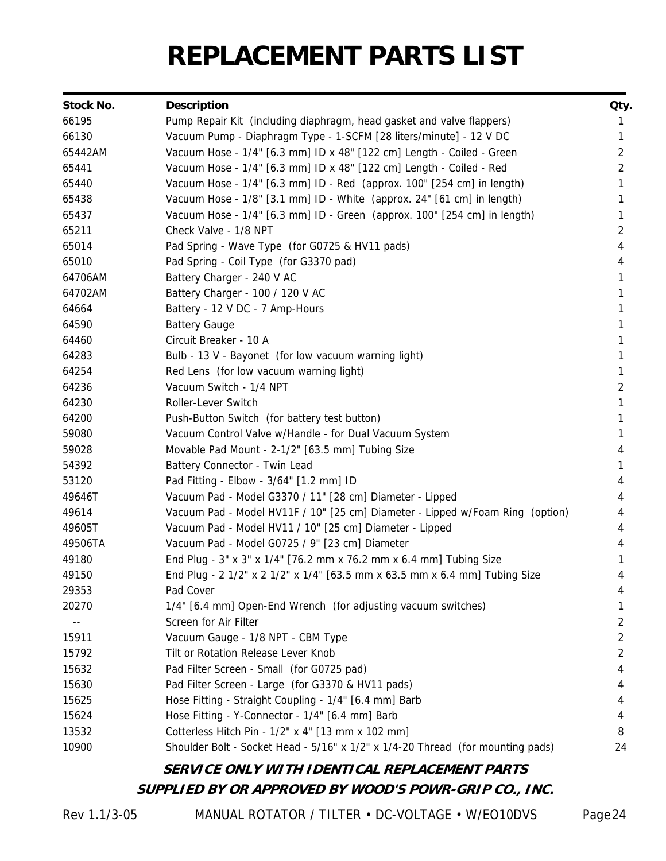# **REPLACEMENT PARTS LIST**

| Stock No. | <b>Description</b>                                                             | Qty.           |
|-----------|--------------------------------------------------------------------------------|----------------|
| 66195     | Pump Repair Kit (including diaphragm, head gasket and valve flappers)          | Ŧ              |
| 66130     | Vacuum Pump - Diaphragm Type - 1-SCFM [28 liters/minute] - 12 V DC             | 1              |
| 65442AM   | Vacuum Hose - 1/4" [6.3 mm] ID x 48" [122 cm] Length - Coiled - Green          | 2              |
| 65441     | Vacuum Hose - 1/4" [6.3 mm] ID x 48" [122 cm] Length - Coiled - Red            | $\overline{2}$ |
| 65440     | Vacuum Hose - 1/4" [6.3 mm] ID - Red (approx. 100" [254 cm] in length)         | 1              |
| 65438     | Vacuum Hose - 1/8" [3.1 mm] ID - White (approx. 24" [61 cm] in length)         |                |
| 65437     | Vacuum Hose - 1/4" [6.3 mm] ID - Green (approx. 100" [254 cm] in length)       |                |
| 65211     | Check Valve - 1/8 NPT                                                          | 2              |
| 65014     | Pad Spring - Wave Type (for G0725 & HV11 pads)                                 | 4              |
| 65010     | Pad Spring - Coil Type (for G3370 pad)                                         | 4              |
| 64706AM   | Battery Charger - 240 V AC                                                     |                |
| 64702AM   | Battery Charger - 100 / 120 V AC                                               |                |
| 64664     | Battery - 12 V DC - 7 Amp-Hours                                                |                |
| 64590     | <b>Battery Gauge</b>                                                           |                |
| 64460     | Circuit Breaker - 10 A                                                         |                |
| 64283     | Bulb - 13 V - Bayonet (for low vacuum warning light)                           |                |
| 64254     | Red Lens (for low vacuum warning light)                                        |                |
| 64236     | Vacuum Switch - 1/4 NPT                                                        | 2              |
| 64230     | Roller-Lever Switch                                                            | 1              |
| 64200     | Push-Button Switch (for battery test button)                                   |                |
| 59080     | Vacuum Control Valve w/Handle - for Dual Vacuum System                         |                |
| 59028     | Movable Pad Mount - 2-1/2" [63.5 mm] Tubing Size                               | 4              |
| 54392     | Battery Connector - Twin Lead                                                  | 1              |
| 53120     | Pad Fitting - Elbow - 3/64" [1.2 mm] ID                                        | 4              |
| 49646T    | Vacuum Pad - Model G3370 / 11" [28 cm] Diameter - Lipped                       | 4              |
| 49614     | Vacuum Pad - Model HV11F / 10" [25 cm] Diameter - Lipped w/Foam Ring (option)  | 4              |
| 49605T    | Vacuum Pad - Model HV11 / 10" [25 cm] Diameter - Lipped                        | 4              |
| 49506TA   | Vacuum Pad - Model G0725 / 9" [23 cm] Diameter                                 | 4              |
| 49180     | End Plug - 3" x 3" x 1/4" [76.2 mm x 76.2 mm x 6.4 mm] Tubing Size             |                |
| 49150     | End Plug - 2 1/2" x 2 1/2" x 1/4" [63.5 mm x 63.5 mm x 6.4 mm] Tubing Size     | 4              |
| 29353     | Pad Cover                                                                      | 4              |
| 20270     | 1/4" [6.4 mm] Open-End Wrench (for adjusting vacuum switches)                  |                |
|           | Screen for Air Filter                                                          | 2              |
| 15911     | Vacuum Gauge - 1/8 NPT - CBM Type                                              | 2              |
| 15792     | Tilt or Rotation Release Lever Knob                                            | 2              |
| 15632     | Pad Filter Screen - Small (for G0725 pad)                                      | 4              |
| 15630     | Pad Filter Screen - Large (for G3370 & HV11 pads)                              | 4              |
| 15625     | Hose Fitting - Straight Coupling - 1/4" [6.4 mm] Barb                          | 4              |
| 15624     | Hose Fitting - Y-Connector - 1/4" [6.4 mm] Barb                                | 4              |
| 13532     | Cotterless Hitch Pin - 1/2" x 4" [13 mm x 102 mm]                              | 8              |
| 10900     | Shoulder Bolt - Socket Head - 5/16" x 1/2" x 1/4-20 Thread (for mounting pads) | 24             |

### **SERVICE ONLY WITH IDENTICAL REPLACEMENT PARTS SUPPLIED BY OR APPROVED BY WOOD'S POWR-GRIP CO., INC.**

Rev 1.1/3-05 MANUAL ROTATOR / TILTER • DC-VOLTAGE • W/EO10DVS Page 24